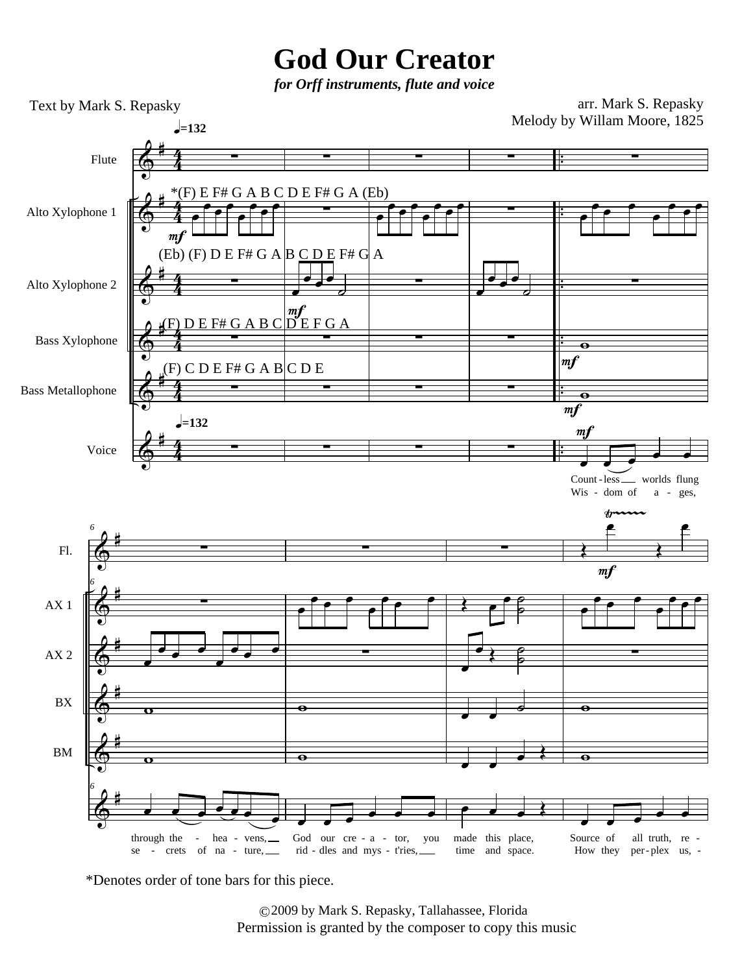## **God Our Creator**

*for Orff instruments, flute and voice*

arr. Mark S. Repasky Melody by Willam Moore, 1825



\*Denotes order of tone bars for this piece.

Text by Mark S. Repasky

2009 by Mark S. Repasky, Tallahassee, Florida © Permission is granted by the composer to copy this music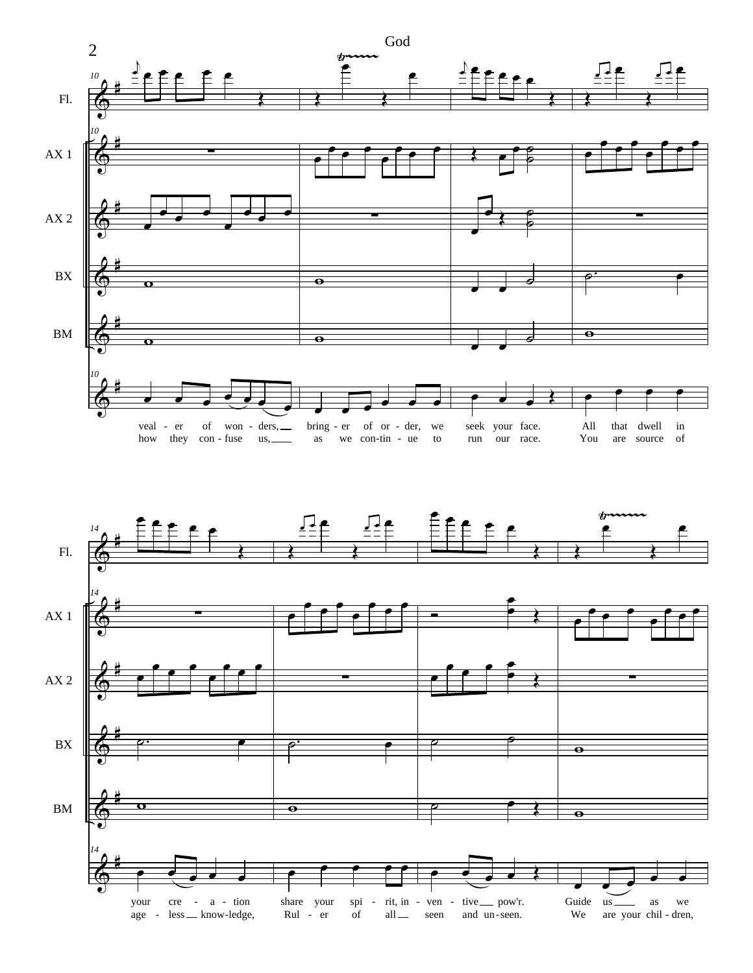

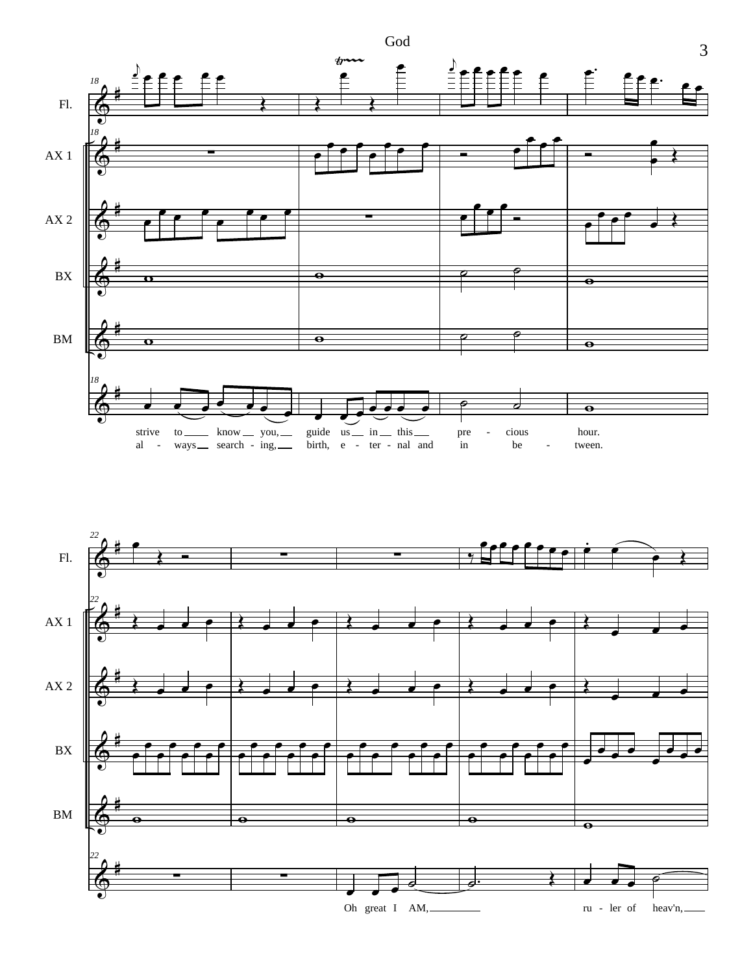

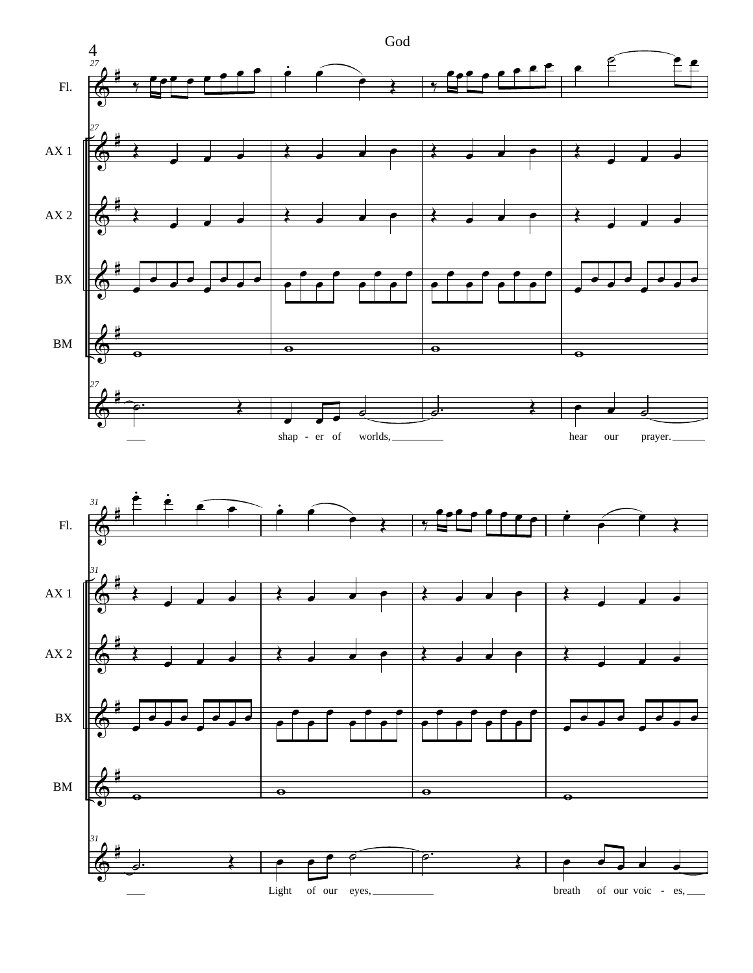

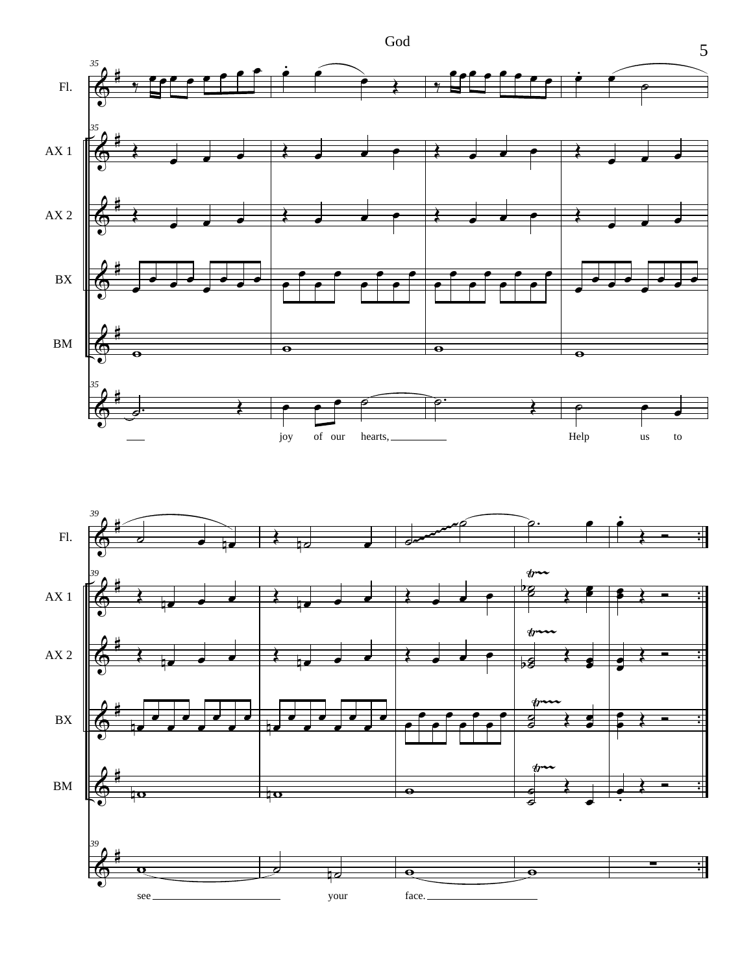

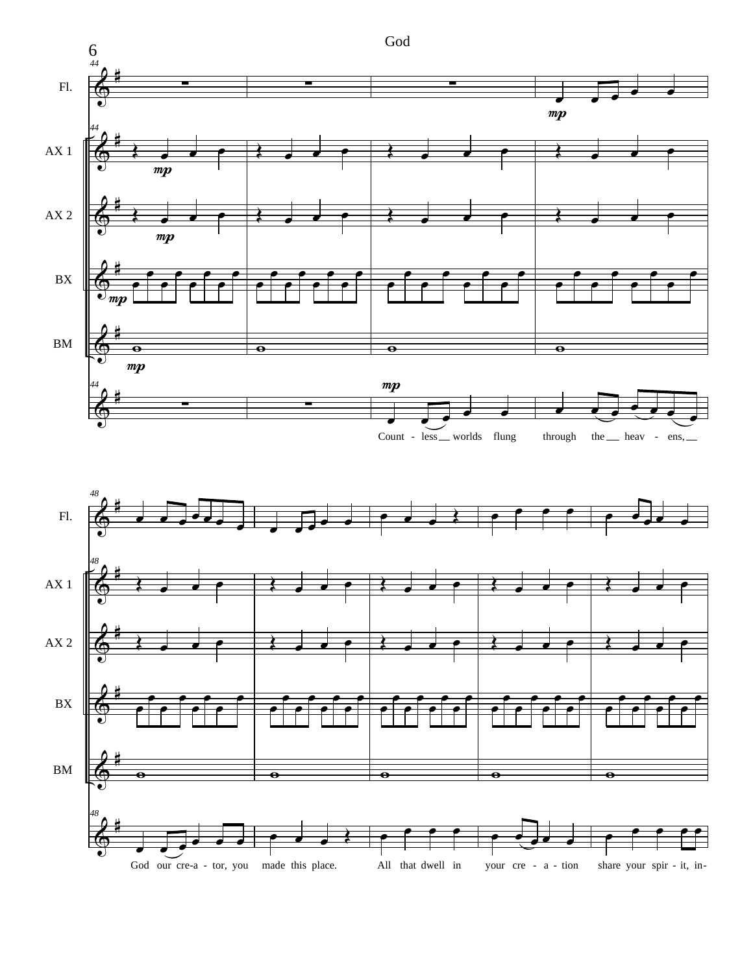